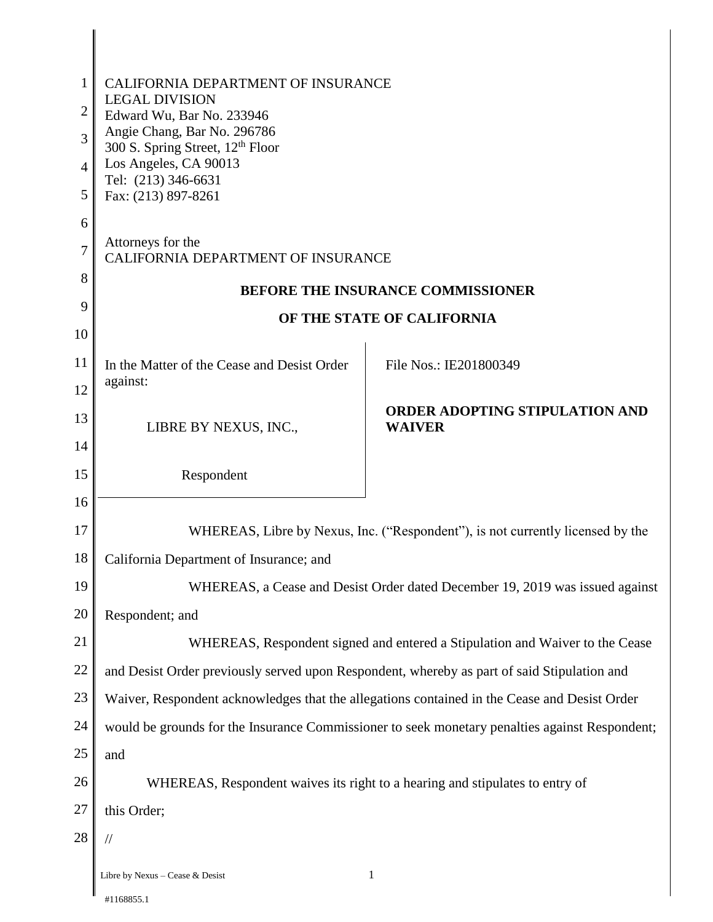| 1              | CALIFORNIA DEPARTMENT OF INSURANCE                                                             |                                                                                |  |
|----------------|------------------------------------------------------------------------------------------------|--------------------------------------------------------------------------------|--|
| $\overline{2}$ | <b>LEGAL DIVISION</b><br>Edward Wu, Bar No. 233946                                             |                                                                                |  |
| 3              | Angie Chang, Bar No. 296786                                                                    |                                                                                |  |
| 4              | 300 S. Spring Street, 12 <sup>th</sup> Floor<br>Los Angeles, CA 90013                          |                                                                                |  |
| 5              | Tel: (213) 346-6631<br>Fax: (213) 897-8261                                                     |                                                                                |  |
| 6              |                                                                                                |                                                                                |  |
| $\overline{7}$ | Attorneys for the<br>CALIFORNIA DEPARTMENT OF INSURANCE                                        |                                                                                |  |
| 8              | <b>BEFORE THE INSURANCE COMMISSIONER</b>                                                       |                                                                                |  |
| 9              | OF THE STATE OF CALIFORNIA                                                                     |                                                                                |  |
| 10             |                                                                                                |                                                                                |  |
| 11             | In the Matter of the Cease and Desist Order<br>against:                                        | File Nos.: IE201800349                                                         |  |
| 12             |                                                                                                | <b>ORDER ADOPTING STIPULATION AND</b>                                          |  |
| 13             | LIBRE BY NEXUS, INC.,                                                                          | <b>WAIVER</b>                                                                  |  |
| 14<br>15       |                                                                                                |                                                                                |  |
| 16             | Respondent                                                                                     |                                                                                |  |
| 17             |                                                                                                | WHEREAS, Libre by Nexus, Inc. ("Respondent"), is not currently licensed by the |  |
| 18             | California Department of Insurance; and                                                        |                                                                                |  |
| 19             | WHEREAS, a Cease and Desist Order dated December 19, 2019 was issued against                   |                                                                                |  |
| 20             | Respondent; and                                                                                |                                                                                |  |
| 21             | WHEREAS, Respondent signed and entered a Stipulation and Waiver to the Cease                   |                                                                                |  |
| 22             | and Desist Order previously served upon Respondent, whereby as part of said Stipulation and    |                                                                                |  |
| 23             | Waiver, Respondent acknowledges that the allegations contained in the Cease and Desist Order   |                                                                                |  |
| 24             | would be grounds for the Insurance Commissioner to seek monetary penalties against Respondent; |                                                                                |  |
| 25             | and                                                                                            |                                                                                |  |
| 26             |                                                                                                | WHEREAS, Respondent waives its right to a hearing and stipulates to entry of   |  |
| 27             | this Order;                                                                                    |                                                                                |  |
| 28             | //                                                                                             |                                                                                |  |
|                | Libre by Nexus - Cease & Desist                                                                | $\mathbf{1}$                                                                   |  |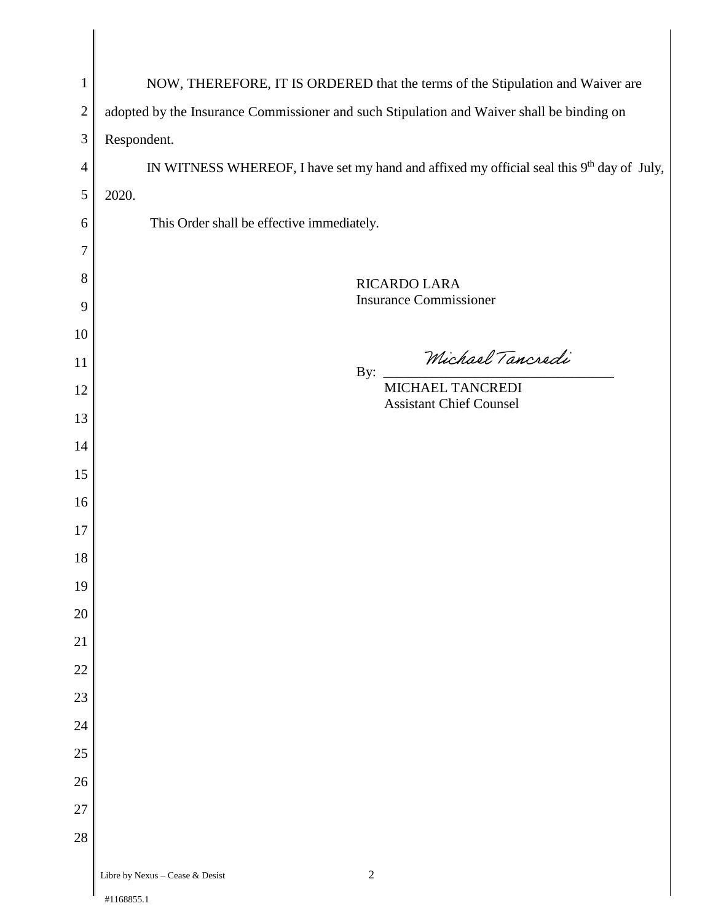| $\mathbf{1}$     | NOW, THEREFORE, IT IS ORDERED that the terms of the Stipulation and Waiver are                        |
|------------------|-------------------------------------------------------------------------------------------------------|
| $\boldsymbol{2}$ | adopted by the Insurance Commissioner and such Stipulation and Waiver shall be binding on             |
| $\mathfrak{Z}$   | Respondent.                                                                                           |
| 4                | IN WITNESS WHEREOF, I have set my hand and affixed my official seal this 9 <sup>th</sup> day of July, |
| 5                | 2020.                                                                                                 |
| 6                | This Order shall be effective immediately.                                                            |
| 7                |                                                                                                       |
| $8\,$            | RICARDO LARA                                                                                          |
| 9                | <b>Insurance Commissioner</b>                                                                         |
| 10               |                                                                                                       |
| 11               | Michael Tancredi<br>By:                                                                               |
| 12               | MICHAEL TANCREDI                                                                                      |
| 13               | <b>Assistant Chief Counsel</b>                                                                        |
| 14               |                                                                                                       |
| 15               |                                                                                                       |
| 16               |                                                                                                       |
| 17               |                                                                                                       |
| 18               |                                                                                                       |
| 19               |                                                                                                       |
| $20\,$           |                                                                                                       |
| 21               |                                                                                                       |
| $22\,$           |                                                                                                       |
| $23\,$           |                                                                                                       |
| $24\,$           |                                                                                                       |
| $25\,$           |                                                                                                       |
| $26\,$           |                                                                                                       |
| $27\,$           |                                                                                                       |
| $28\,$           |                                                                                                       |
|                  | $\sqrt{2}$<br>Libre by Nexus - Cease & Desist                                                         |
|                  | #1168855.1                                                                                            |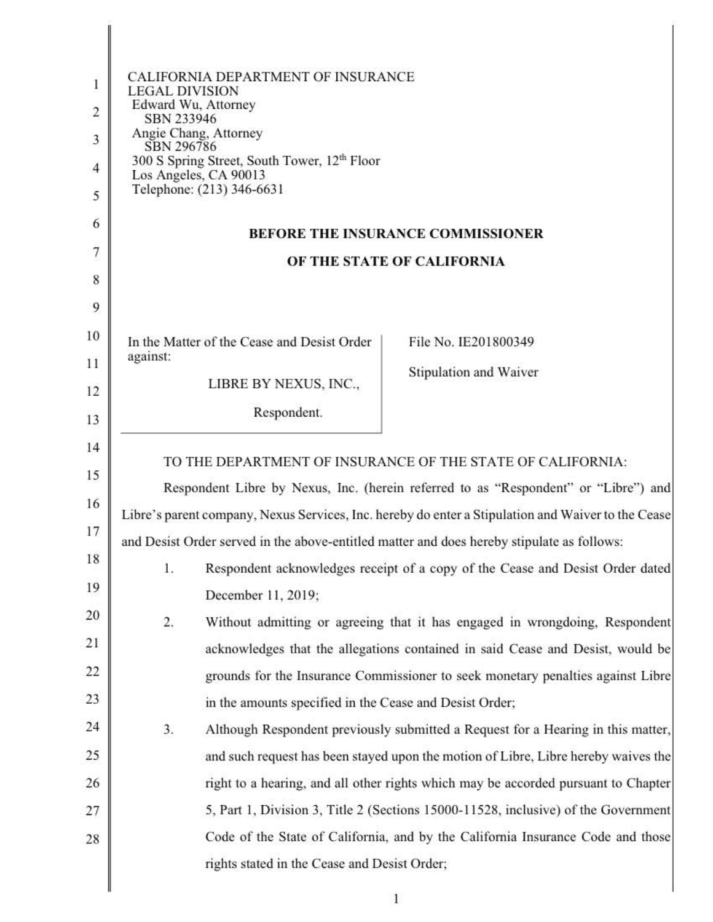|    | CALIFORNIA DEPARTMENT OF INSURANCE<br>LEGAL DIVISION                                               |                                                                                     |  |
|----|----------------------------------------------------------------------------------------------------|-------------------------------------------------------------------------------------|--|
| 2  | Edward Wu, Attorney<br>SBN 233946                                                                  |                                                                                     |  |
| 3  | Angie Chang, Attorney<br>SBN 296786                                                                |                                                                                     |  |
| 4  | 300 S Spring Street, South Tower, 12 <sup>th</sup> Floor<br>Los Angeles, CA 90013                  |                                                                                     |  |
| 5  | Telephone: (213) 346-6631                                                                          |                                                                                     |  |
| 6  |                                                                                                    |                                                                                     |  |
|    | <b>BEFORE THE INSURANCE COMMISSIONER</b>                                                           |                                                                                     |  |
| 8  | OF THE STATE OF CALIFORNIA                                                                         |                                                                                     |  |
| 9  |                                                                                                    |                                                                                     |  |
| 10 | In the Matter of the Cease and Desist Order                                                        | File No. IE201800349                                                                |  |
| 11 | against:                                                                                           | Stipulation and Waiver                                                              |  |
| 12 | LIBRE BY NEXUS, INC.,                                                                              |                                                                                     |  |
| 13 | Respondent.                                                                                        |                                                                                     |  |
| 14 |                                                                                                    |                                                                                     |  |
| 15 | TO THE DEPARTMENT OF INSURANCE OF THE STATE OF CALIFORNIA:                                         | Respondent Libre by Nexus, Inc. (herein referred to as "Respondent" or "Libre") and |  |
| 16 | Libre's parent company, Nexus Services, Inc. hereby do enter a Stipulation and Waiver to the Cease |                                                                                     |  |
| 17 | and Desist Order served in the above-entitled matter and does hereby stipulate as follows:         |                                                                                     |  |
| 18 | 1.                                                                                                 | Respondent acknowledges receipt of a copy of the Cease and Desist Order dated       |  |
| 19 | December 11, 2019;                                                                                 |                                                                                     |  |
| 20 | 2.                                                                                                 | Without admitting or agreeing that it has engaged in wrongdoing, Respondent         |  |
| 21 |                                                                                                    | acknowledges that the allegations contained in said Cease and Desist, would be      |  |
| 22 |                                                                                                    | grounds for the Insurance Commissioner to seek monetary penalties against Libre     |  |
| 23 | in the amounts specified in the Cease and Desist Order;                                            |                                                                                     |  |
| 24 | 3.                                                                                                 | Although Respondent previously submitted a Request for a Hearing in this matter,    |  |
| 25 |                                                                                                    | and such request has been stayed upon the motion of Libre, Libre hereby waives the  |  |
| 26 |                                                                                                    | right to a hearing, and all other rights which may be accorded pursuant to Chapter  |  |
| 27 |                                                                                                    | 5, Part 1, Division 3, Title 2 (Sections 15000-11528, inclusive) of the Government  |  |
| 28 |                                                                                                    | Code of the State of California, and by the California Insurance Code and those     |  |
|    | rights stated in the Cease and Desist Order;                                                       |                                                                                     |  |
|    |                                                                                                    |                                                                                     |  |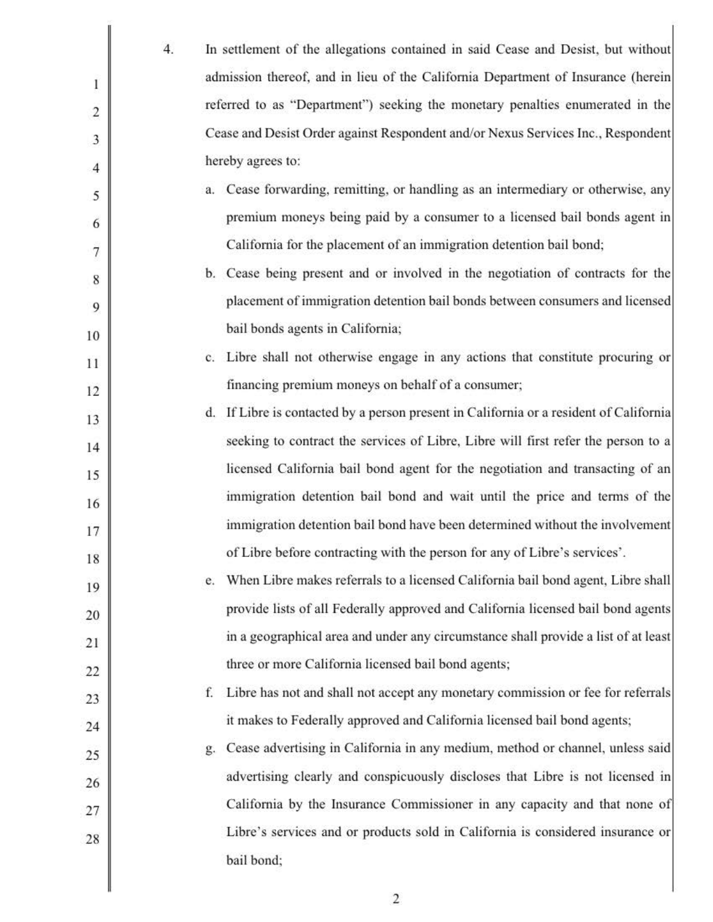|                | 4. | In settlement of the allegations contained in said Cease and Desist, but without       |
|----------------|----|----------------------------------------------------------------------------------------|
|                |    | admission thereof, and in lieu of the California Department of Insurance (herein       |
| $\overline{2}$ |    | referred to as "Department") seeking the monetary penalties enumerated in the          |
| 3              |    | Cease and Desist Order against Respondent and/or Nexus Services Inc., Respondent       |
| 4              |    | hereby agrees to:                                                                      |
| 5              |    | a. Cease forwarding, remitting, or handling as an intermediary or otherwise, any       |
| 6              |    | premium moneys being paid by a consumer to a licensed bail bonds agent in              |
| 7              |    | California for the placement of an immigration detention bail bond;                    |
| 8              |    | b. Cease being present and or involved in the negotiation of contracts for the         |
| 9              |    | placement of immigration detention bail bonds between consumers and licensed           |
| 10             |    | bail bonds agents in California;                                                       |
| 11             |    | c. Libre shall not otherwise engage in any actions that constitute procuring or        |
| 12             |    | financing premium moneys on behalf of a consumer;                                      |
| 13             |    | d. If Libre is contacted by a person present in California or a resident of California |
| 14             |    | seeking to contract the services of Libre, Libre will first refer the person to a      |
| 15             |    | licensed California bail bond agent for the negotiation and transacting of an          |
| 16             |    | immigration detention bail bond and wait until the price and terms of the              |
| 17             |    | immigration detention bail bond have been determined without the involvement           |
| 18             |    | of Libre before contracting with the person for any of Libre's services'.              |
| 19             |    | When Libre makes referrals to a licensed California bail bond agent, Libre shall<br>e. |
| 20             |    | provide lists of all Federally approved and California licensed bail bond agents       |
| 21             |    | in a geographical area and under any circumstance shall provide a list of at least     |
| 22             |    | three or more California licensed bail bond agents;                                    |
| 23             |    | Libre has not and shall not accept any monetary commission or fee for referrals<br>f.  |
| 24             |    | it makes to Federally approved and California licensed bail bond agents;               |
| 25             |    | Cease advertising in California in any medium, method or channel, unless said<br>g.    |
| 26             |    | advertising clearly and conspicuously discloses that Libre is not licensed in          |
| 27             |    | California by the Insurance Commissioner in any capacity and that none of              |
| 28             |    | Libre's services and or products sold in California is considered insurance or         |
|                |    | bail bond;                                                                             |
|                |    |                                                                                        |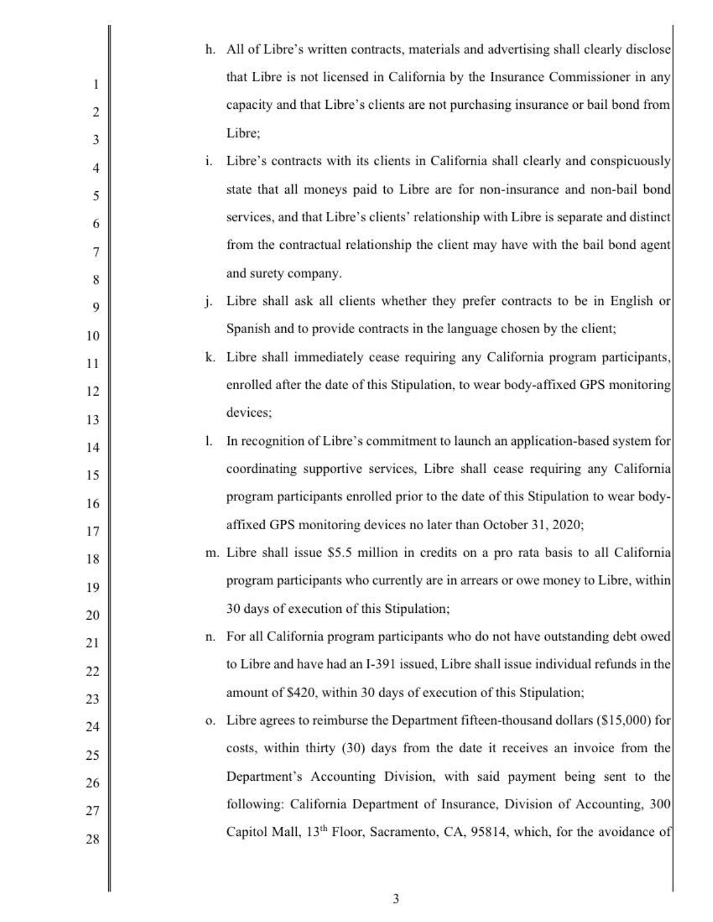|                |         | h. All of Libre's written contracts, materials and advertising shall clearly disclose    |
|----------------|---------|------------------------------------------------------------------------------------------|
|                |         | that Libre is not licensed in California by the Insurance Commissioner in any            |
| $\overline{2}$ |         | capacity and that Libre's clients are not purchasing insurance or bail bond from         |
| 3              |         | Libre;                                                                                   |
| 4              | i.      | Libre's contracts with its clients in California shall clearly and conspicuously         |
| 5              |         | state that all moneys paid to Libre are for non-insurance and non-bail bond              |
| 6              |         | services, and that Libre's clients' relationship with Libre is separate and distinct     |
| 7              |         | from the contractual relationship the client may have with the bail bond agent           |
| 8              |         | and surety company.                                                                      |
| 9              | $\cdot$ | Libre shall ask all clients whether they prefer contracts to be in English or            |
| 10             |         | Spanish and to provide contracts in the language chosen by the client;                   |
| 11             |         | k. Libre shall immediately cease requiring any California program participants,          |
| 12             |         | enrolled after the date of this Stipulation, to wear body-affixed GPS monitoring         |
| 13             |         | devices;                                                                                 |
| 14             | 1.      | In recognition of Libre's commitment to launch an application-based system for           |
| 15             |         | coordinating supportive services, Libre shall cease requiring any California             |
| 16             |         | program participants enrolled prior to the date of this Stipulation to wear body-        |
| 17             |         | affixed GPS monitoring devices no later than October 31, 2020;                           |
| 18             |         | m. Libre shall issue \$5.5 million in credits on a pro rata basis to all California      |
| 19             |         | program participants who currently are in arrears or owe money to Libre, within          |
| 20             |         | 30 days of execution of this Stipulation;                                                |
| 21             |         | n. For all California program participants who do not have outstanding debt owed         |
| 22             |         | to Libre and have had an I-391 issued, Libre shall issue individual refunds in the       |
| 23             |         | amount of \$420, within 30 days of execution of this Stipulation;                        |
| 24             |         | o. Libre agrees to reimburse the Department fifteen-thousand dollars (\$15,000) for      |
| 25             |         | costs, within thirty (30) days from the date it receives an invoice from the             |
| 26             |         | Department's Accounting Division, with said payment being sent to the                    |
| 27             |         | following: California Department of Insurance, Division of Accounting, 300               |
| 28             |         | Capitol Mall, 13 <sup>th</sup> Floor, Sacramento, CA, 95814, which, for the avoidance of |
|                |         |                                                                                          |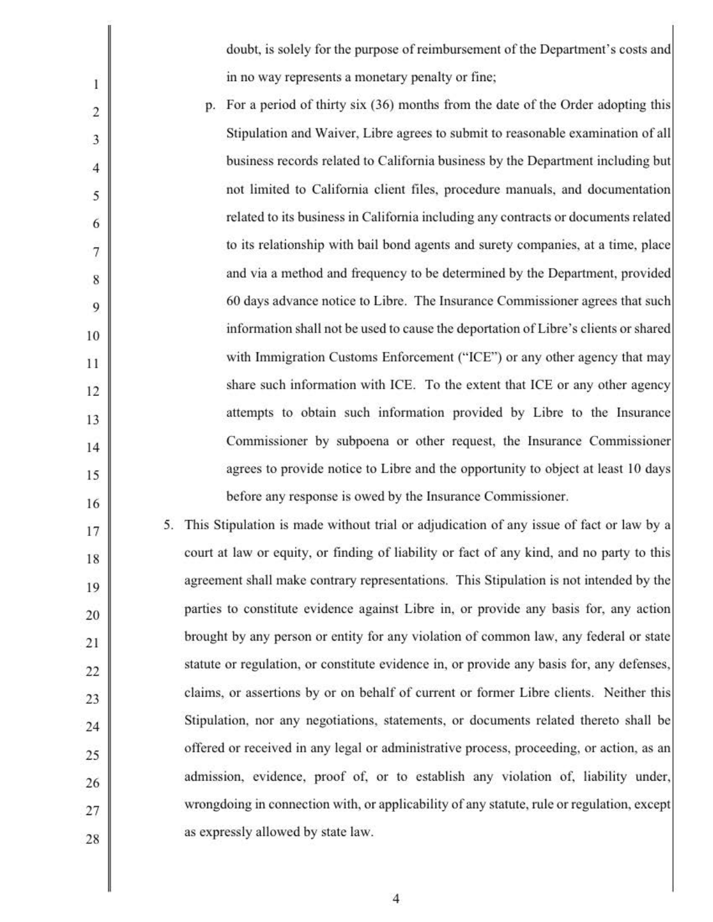doubt, is solely for the purpose of reimbursement of the Department's costs and in no way represents a monetary penalty or fine;

5 10 15 2 3 4 6 7 8 9 I I 12 13 14 16 p. For a period of thirty six (36) months from the date of the Order adopting this Stipulation and Waiver, Libre agrees to submit to reasonable examination of all business records related to California business by the Department including but not limited to California client files, procedure manuals, and documentation related to its business in California including any contracts or documents related to its relationship with bail bond agents and surety companies, at a time, place and via a method and frequency to be determined by the Department, provided 60 days advance notice to Libre. The Insurance Commissioner agrees that such information shall not be used to cause the deportation of Libre's clients or shared with Immigration Customs Enforcement ("ICE") or any other agency that may share such information with ICE. To the extent that ICE or any other agency attempts to obtain such information provided by Libre to the Insurance Commissioner by subpoena or other request, the Insurance Commissioner agrees to provide notice to Libre and the opportunity to object at least IO days before any response is owed by the Insurance Commissioner.

1

20 25 17 18 19 21 22 23 24 26 27 28 5. This Stipulation is made without trial or adjudication of any issue of fact or law by a court at law or equity, or finding of liability or fact of any kind, and no party to this agreement shall make contrary representations. This Stipulation is not intended by the parties to constitute evidence against Libre in, or provide any basis for, any action brought by any person or entity for any violation of common law, any federal or state statute or regulation, or constitute evidence in, or provide any basis for, any defenses, claims, or assertions by or on behalf of current or former Libre clients. Neither this Stipulation, nor any negotiations, statements, or documents related thereto shall be offered or received in any legal or administrative process, proceeding, or action, as an admission, evidence, proof of, or to establish any violation of, liability under, wrongdoing in connection with, or applicability of any statute, rule or regulation, except as expressly allowed by state law.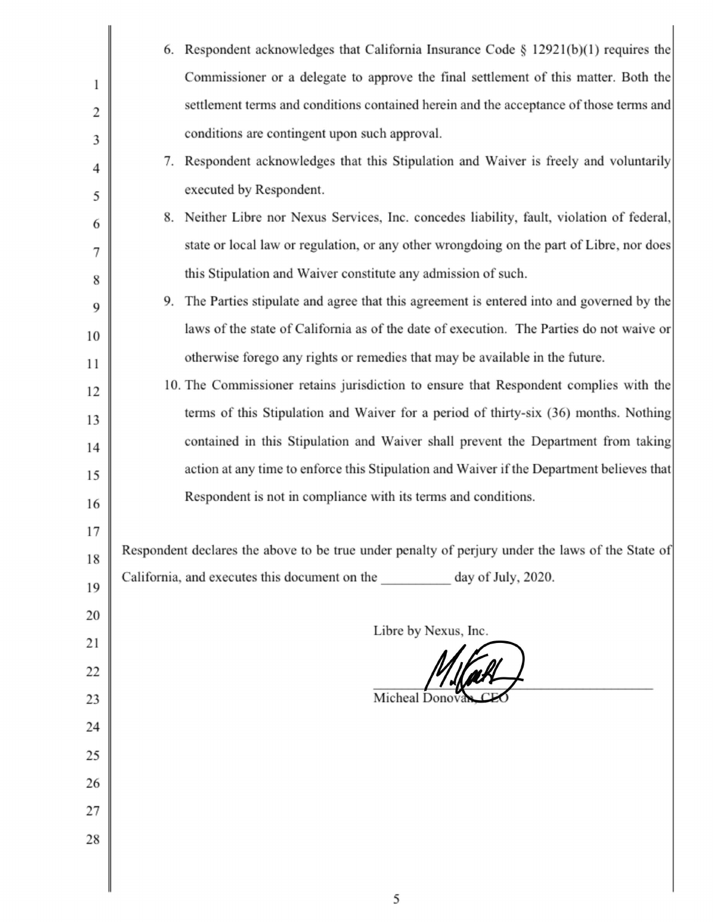|                | 6. Respondent acknowledges that California Insurance Code § 12921(b)(1) requires the             |
|----------------|--------------------------------------------------------------------------------------------------|
|                | Commissioner or a delegate to approve the final settlement of this matter. Both the              |
| $\overline{2}$ | settlement terms and conditions contained herein and the acceptance of those terms and           |
| 3              | conditions are contingent upon such approval.                                                    |
| 4              | 7. Respondent acknowledges that this Stipulation and Waiver is freely and voluntarily            |
| 5              | executed by Respondent.                                                                          |
| 6              | 8. Neither Libre nor Nexus Services, Inc. concedes liability, fault, violation of federal,       |
| 7              | state or local law or regulation, or any other wrongdoing on the part of Libre, nor does         |
| 8              | this Stipulation and Waiver constitute any admission of such.                                    |
| 9              | 9. The Parties stipulate and agree that this agreement is entered into and governed by the       |
| 10             | laws of the state of California as of the date of execution. The Parties do not waive or         |
| 11             | otherwise forego any rights or remedies that may be available in the future.                     |
| 12             | 10. The Commissioner retains jurisdiction to ensure that Respondent complies with the            |
| 13             | terms of this Stipulation and Waiver for a period of thirty-six (36) months. Nothing             |
| 14             | contained in this Stipulation and Waiver shall prevent the Department from taking                |
| 15             | action at any time to enforce this Stipulation and Waiver if the Department believes that        |
| 16             | Respondent is not in compliance with its terms and conditions.                                   |
| 17             |                                                                                                  |
| 18             | Respondent declares the above to be true under penalty of perjury under the laws of the State of |
| 19             | California, and executes this document on the day of July, 2020.                                 |
| 20             |                                                                                                  |
| 21             | Libre by Nexus, Inc.                                                                             |
| 22             |                                                                                                  |
| 23             | Micheal Donova                                                                                   |
| 24             |                                                                                                  |
| 25             |                                                                                                  |
| 26             |                                                                                                  |
| 27             |                                                                                                  |
| 28             |                                                                                                  |